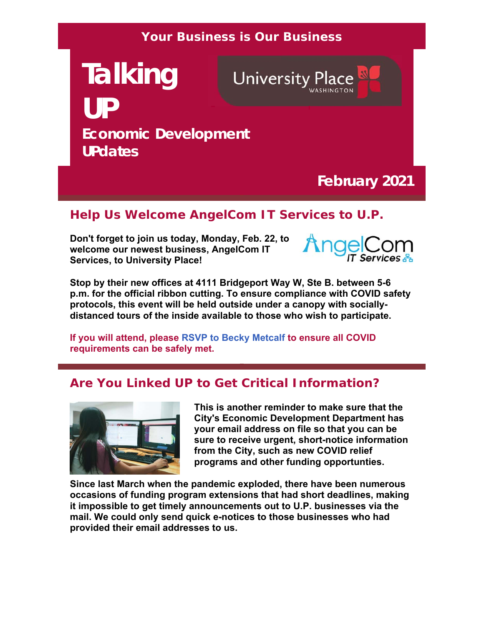#### **Your Business is Our Business**

**Talking UP Economic Development UPdates**

**University Place** 

# **February 2021**

### **Help Us Welcome AngelCom IT Services to U.P.**

**Don't forget to join us today, Monday, Feb. 22, to welcome our newest business, AngelCom IT Services, to University Place!**



**Stop by their new offices at 4111 Bridgeport Way W, Ste B. between 5-6 p.m. for the official ribbon cutting. To ensure compliance with COVID safety protocols, this event will be held outside under a canopy with sociallydistanced tours of the inside available to those who wish to participate.** 

**If you will attend, please RSVP to Becky Metcalf to ensure all COVID requirements can be safely met.**

#### **Are You Linked UP to Get Critical Information?**



**This is another reminder to make sure that the City's Economic Development Department has your email address on file so that you can be sure to receive urgent, short-notice information from the City, such as new COVID relief programs and other funding opportunties.**

**Since last March when the pandemic exploded, there have been numerous occasions of funding program extensions that had short deadlines, making it impossible to get timely announcements out to U.P. businesses via the mail. We could only send quick e-notices to those businesses who had provided their email addresses to us.**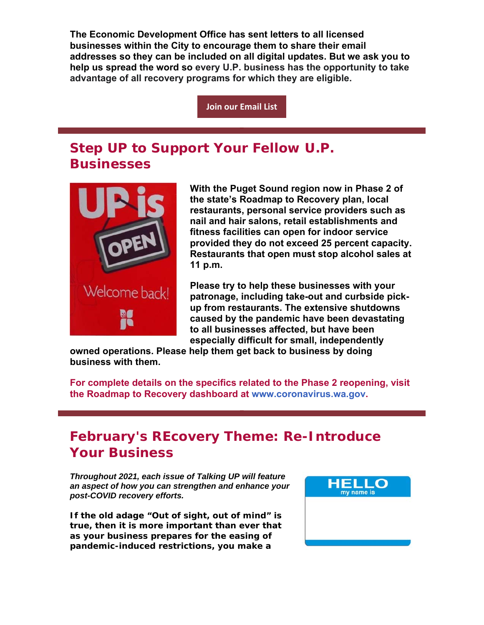**The Economic Development Office has sent letters to all licensed businesses within the City to encourage them to share their email addresses so they can be included on all digital updates. But we ask you to help us spread the word so every U.P. business has the opportunity to take advantage of all recovery programs for which they are eligible.** 

**Join our Email List**

## **Step UP to Support Your Fellow U.P. Businesses**



**With the Puget Sound region now in Phase 2 of the state's Roadmap to Recovery plan, local restaurants, personal service providers such as nail and hair salons, retail establishments and fitness facilities can open for indoor service provided they do not exceed 25 percent capacity. Restaurants that open must stop alcohol sales at 11 p.m.** 

**Please try to help these businesses with your patronage, including take-out and curbside pickup from restaurants. The extensive shutdowns caused by the pandemic have been devastating to all businesses affected, but have been especially difficult for small, independently** 

**owned operations. Please help them get back to business by doing business with them.** 

**For complete details on the specifics related to the Phase 2 reopening, visit the Roadmap to Recovery dashboard at www.coronavirus.wa.gov.**

## **February's REcovery Theme: Re-Introduce Your Business**

*Throughout 2021, each issue of Talking UP will feature an aspect of how you can strengthen and enhance your post-COVID recovery efforts.* 

**If the old adage "Out of sight, out of mind" is true, then it is more important than ever that as your business prepares for the easing of pandemic-induced restrictions, you make a**